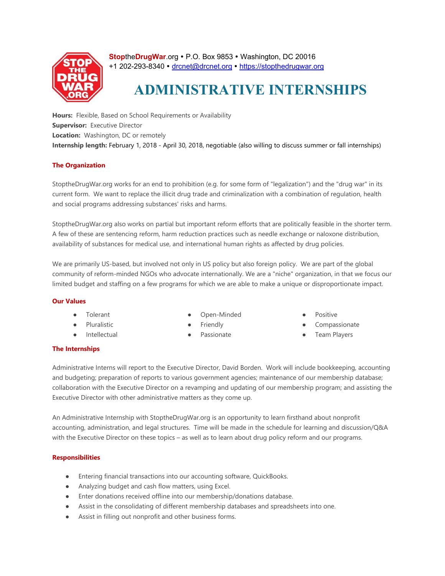

**StoptheDrugWar.org • P.O. Box 9853 • Washington, DC 20016** +1 202-293-8340 · drcnet@drcnet.org · https://stopthedrugwar.org

# **ADMINISTRATIVE INTERNSHIPS**

**Hours:** Flexible, Based on School Requirements or Availability **Supervisor:** Executive Director **Location:** Washington, DC or remotely **Internship length:** February 1, 2018 - April 30, 2018, negotiable (also willing to discuss summer or fall internships)

## **The Organization**

StoptheDrugWar.org works for an end to prohibition (e.g. for some form of "legalization") and the "drug war" in its current form. We want to replace the illicit drug trade and criminalization with a combination of regulation, health and social programs addressing substances' risks and harms.

StoptheDrugWar.org also works on partial but important reform efforts that are politically feasible in the shorter term. A few of these are sentencing reform, harm reduction practices such as needle exchange or naloxone distribution, availability of substances for medical use, and international human rights as affected by drug policies.

We are primarily US-based, but involved not only in US policy but also foreign policy. We are part of the global community of reform-minded NGOs who advocate internationally. We are a "niche" organization, in that we focus our limited budget and staffing on a few programs for which we are able to make a unique or disproportionate impact.

## **Our Values**

- Tolerant
- Pluralistic
- Intellectual
- Open-Minded
- **Friendly**
- Passionate
- **Positive**
- Compassionate
- Team Players

## **The Internships**

Administrative Interns will report to the Executive Director, David Borden. Work will include bookkeeping, accounting and budgeting; preparation of reports to various government agencies; maintenance of our membership database; collaboration with the Executive Director on a revamping and updating of our membership program; and assisting the Executive Director with other administrative matters as they come up.

An Administrative Internship with StoptheDrugWar.org is an opportunity to learn firsthand about nonprofit accounting, administration, and legal structures. Time will be made in the schedule for learning and discussion/Q&A with the Executive Director on these topics – as well as to learn about drug policy reform and our programs.

## **Responsibilities**

- Entering financial transactions into our accounting software, QuickBooks.
- Analyzing budget and cash flow matters, using Excel.
- Enter donations received offline into our membership/donations database.
- Assist in the consolidating of different membership databases and spreadsheets into one.
- Assist in filling out nonprofit and other business forms.